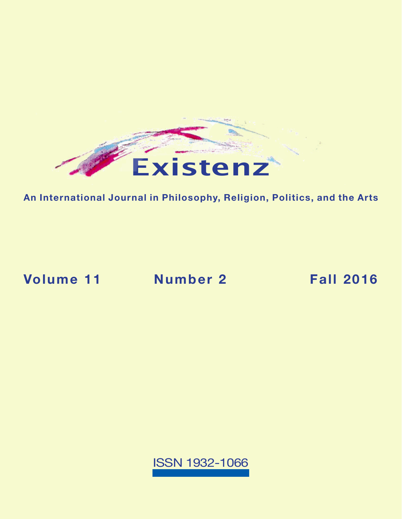

**An International Journal in Philosophy, Religion, Politics, and the Arts**

**[Volume 11](https://existenz.us/volume11No2.html) Number 2 Fall 2016**

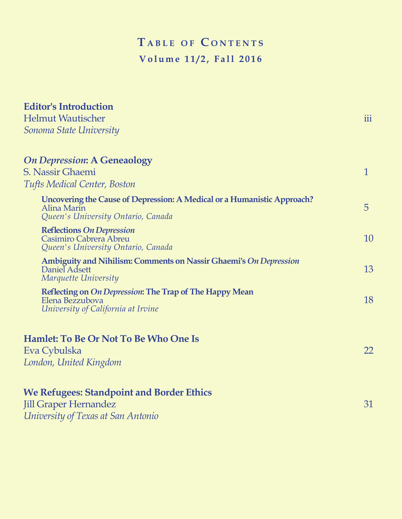# $TABLE OF CONIENTS$ **Volume 11/2, Fall 2016**

| <b>Editor's Introduction</b><br><b>Helmut Wautischer</b><br>Sonoma State University                                          | iii            |
|------------------------------------------------------------------------------------------------------------------------------|----------------|
| <b>On Depression: A Geneaology</b><br>S. Nassir Ghaemi<br><b>Tufts Medical Center, Boston</b>                                | $\mathbf{1}$   |
| Uncovering the Cause of Depression: A Medical or a Humanistic Approach?<br>Alina Marin<br>Queen's University Ontario, Canada | $\overline{5}$ |
| <b>Reflections On Depression</b><br>Casimiro Cabrera Abreu<br>Queen's University Ontario, Canada                             | 10             |
| Ambiguity and Nihilism: Comments on Nassir Ghaemi's On Depression<br>Daniel Adsett<br>Marquette University                   | 13             |
| Reflecting on On Depression: The Trap of The Happy Mean<br>Elena Bezzubova<br>University of California at Irvine             | 18             |
| Hamlet: To Be Or Not To Be Who One Is<br>Eva Cybulska<br>London, United Kingdom                                              | 22             |
| <b>We Refugees: Standpoint and Border Ethics</b><br><b>Jill Graper Hernandez</b><br>University of Texas at San Antonio       | 31             |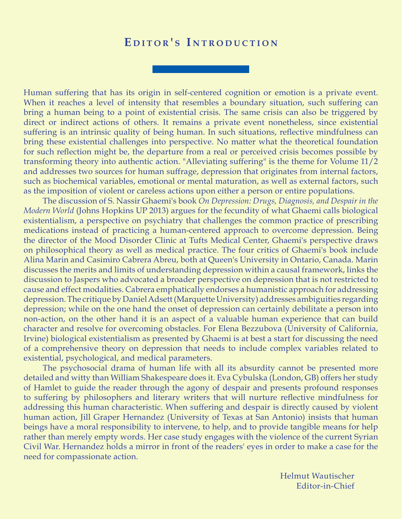### EDITOR'S INTRODUCTION

Human suffering that has its origin in self-centered cognition or emotion is a private event. When it reaches a level of intensity that resembles a boundary situation, such suffering can bring a human being to a point of existential crisis. The same crisis can also be triggered by direct or indirect actions of others. It remains a private event nonetheless, since existential suffering is an intrinsic quality of being human. In such situations, reflective mindfulness can bring these existential challenges into perspective. No matter what the theoretical foundation for such reflection might be, the departure from a real or perceived crisis becomes possible by transforming theory into authentic action. "Alleviating suffering" is the theme for Volume 11/2 and addresses two sources for human suffrage, depression that originates from internal factors, such as biochemical variables, emotional or mental maturation, as well as external factors, such as the imposition of violent or careless actions upon either a person or entire populations.

The discussion of S. Nassir Ghaemi's book *On Depression: Drugs, Diagnosis, and Despair in the Modern World* (Johns Hopkins UP 2013) argues for the fecundity of what Ghaemi calls biological existentialism, a perspective on psychiatry that challenges the common practice of prescribing medications instead of practicing a human-centered approach to overcome depression. Being the director of the Mood Disorder Clinic at Tufts Medical Center, Ghaemi's perspective draws on philosophical theory as well as medical practice. The four critics of Ghaemi's book include Alina Marin and Casimiro Cabrera Abreu, both at Queen's University in Ontario, Canada. Marin discusses the merits and limits of understanding depression within a causal framework, links the discussion to Jaspers who advocated a broader perspective on depression that is not restricted to cause and effect modalities. Cabrera emphatically endorses a humanistic approach for addressing depression. The critique by Daniel Adsett (Marquette University) addresses ambiguities regarding depression; while on the one hand the onset of depression can certainly debilitate a person into non-action, on the other hand it is an aspect of a valuable human experience that can build character and resolve for overcoming obstacles. For Elena Bezzubova (University of California, Irvine) biological existentialism as presented by Ghaemi is at best a start for discussing the need of a comprehensive theory on depression that needs to include complex variables related to existential, psychological, and medical parameters.

The psychosocial drama of human life with all its absurdity cannot be presented more detailed and witty than William Shakespeare does it. Eva Cybulska (London, GB) offers her study of Hamlet to guide the reader through the agony of despair and presents profound responses to suffering by philosophers and literary writers that will nurture reflective mindfulness for addressing this human characteristic. When suffering and despair is directly caused by violent human action, Jill Graper Hernandez (University of Texas at San Antonio) insists that human beings have a moral responsibility to intervene, to help, and to provide tangible means for help rather than merely empty words. Her case study engages with the violence of the current Syrian Civil War. Hernandez holds a mirror in front of the readers' eyes in order to make a case for the need for compassionate action.

> Helmut Wautischer Editor-in-Chief